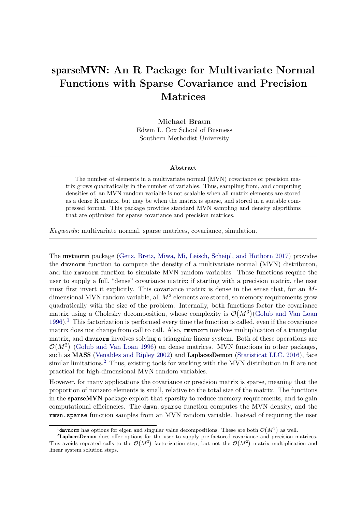# sparseMVN: An R Package for Multivariate Normal Functions with Sparse Covariance and Precision Matrices

Michael Braun Edwin L. Cox School of Business Southern Methodist University

#### Abstract

The number of elements in a multivariate normal (MVN) covariance or precision matrix grows quadratically in the number of variables. Thus, sampling from, and computing densities of, an MVN random variable is not scalable when all matrix elements are stored as a dense R matrix, but may be when the matrix is sparse, and stored in a suitable compressed format. This package provides standard MVN sampling and density algorithms that are optimized for sparse covariance and precision matrices.

Keywords: multivariate normal, sparse matrices, covariance, simulation.

The mvtnorm package [\(Genz, Bretz, Miwa, Mi, Leisch, Scheipl, and Hothorn](#page-10-0) [2017\)](#page-10-0) provides the dmvnorm function to compute the density of a multivariate normal (MVN) distributon, and the rmvnorm function to simulate MVN random variables. These functions require the user to supply a full, "dense" covariance matrix; if starting with a precision matrix, the user must first invert it explicitly. This covariance matrix is dense in the sense that, for an Mdimensional MVN random variable, all  $M^2$  elements are stored, so memory requirements grow quadratically with the size of the problem. Internally, both functions factor the covariance matrix using a Cholesky decomposition, whose complexity is  $\mathcal{O}(M^3)$  [\(Golub and Van Loan](#page-10-1)  $1996$  $1996$ .<sup>1</sup> This factorization is performed every time the function is called, even if the covariance matrix does not change from call to call. Also, rmvnorm involves multiplication of a triangular matrix, and dmvnorm involves solving a triangular linear system. Both of these operations are  $\mathcal{O}(M^2)$  [\(Golub and Van Loan](#page-10-1) [1996\)](#page-10-1) on dense matrices. MVN functions in other packages, such as **MASS** [\(Venables and Ripley](#page-10-2) [2002\)](#page-10-2) and LaplacesDemon [\(Statisticat LLC.](#page-10-3) [2016\)](#page-10-3), face similar limitations.<sup>[2](#page-0-1)</sup> Thus, existing tools for working with the MVN distribution in R are not practical for high-dimensional MVN random variables.

However, for many applications the covariance or precision matrix is sparse, meaning that the proportion of nonzero elements is small, relative to the total size of the matrix. The functions in the sparseMVN package exploit that sparsity to reduce memory requirements, and to gain computational efficiencies. The dmvn.sparse function computes the MVN density, and the rmvn.sparse function samples from an MVN random variable. Instead of requiring the user

<span id="page-0-1"></span><span id="page-0-0"></span><sup>&</sup>lt;sup>1</sup> dmvnorm has options for eigen and singular value decompositions. These are both  $\mathcal{O}(M^3)$  as well.

<sup>&</sup>lt;sup>2</sup>LaplacesDemon does offer options for the user to supply pre-factored covariance and precision matrices. This avoids repeated calls to the  $\mathcal{O}(M^3)$  factorization step, but not the  $\mathcal{O}(M^2)$  matrix multiplication and linear system solution steps.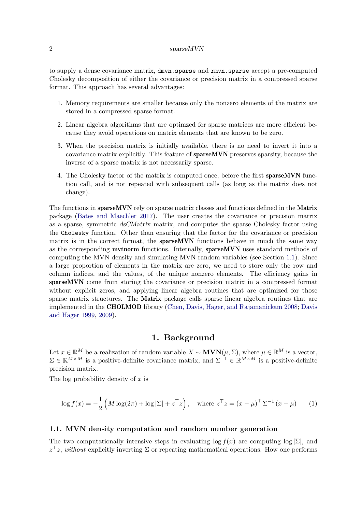#### 2 sparseMVN

to supply a dense covariance matrix, dmvn.sparse and rmvn.sparse accept a pre-computed Cholesky decomposition of either the covariance or precision matrix in a compressed sparse format. This approach has several advantages:

- 1. Memory requirements are smaller because only the nonzero elements of the matrix are stored in a compressed sparse format.
- 2. Linear algebra algorithms that are optimzed for sparse matrices are more efficient because they avoid operations on matrix elements that are known to be zero.
- 3. When the precision matrix is initially available, there is no need to invert it into a covariance matrix explicitly. This feature of sparseMVN preserves sparsity, because the inverse of a sparse matrix is not necessarily sparse.
- 4. The Cholesky factor of the matrix is computed once, before the first sparseMVN function call, and is not repeated with subsequent calls (as long as the matrix does not change).

The functions in sparseMVN rely on sparse matrix classes and functions defined in the Matrix package [\(Bates and Maechler](#page-9-0) [2017\)](#page-9-0). The user creates the covariance or precision matrix as a sparse, symmetric dsCMatrix matrix, and computes the sparse Cholesky factor using the Cholesky function. Other than ensuring that the factor for the covariance or precision matrix is in the correct format, the **sparseMVN** functions behave in much the same way as the corresponding mvtnorm functions. Internally, sparseMVN uses standard methods of computing the MVN density and simulating MVN random variables (see Section [1.1\)](#page-1-0). Since a large proportion of elements in the matrix are zero, we need to store only the row and column indices, and the values, of the unique nonzero elements. The efficiency gains in sparseMVN come from storing the covariance or precision matrix in a compressed format without explicit zeros, and applying linear algebra routines that are optimized for those sparse matrix structures. The Matrix package calls sparse linear algebra routines that are implemented in the CHOLMOD library [\(Chen, Davis, Hager, and Rajamanickam](#page-9-1) [2008;](#page-9-1) [Davis](#page-10-4) [and Hager](#page-10-4) [1999,](#page-10-4) [2009\)](#page-10-5).

# 1. Background

Let  $x \in \mathbb{R}^M$  be a realization of random variable  $X \sim \textbf{MVN}(\mu, \Sigma)$ , where  $\mu \in \mathbb{R}^M$  is a vector,  $\Sigma \in \mathbb{R}^{M \times M}$  is a positive-definite covariance matrix, and  $\Sigma^{-1} \in \mathbb{R}^{M \times M}$  is a positive-definite precision matrix.

The log probability density of  $x$  is

$$
\log f(x) = -\frac{1}{2} \left( M \log(2\pi) + \log |\Sigma| + z^{\top} z \right), \quad \text{where } z^{\top} z = (x - \mu)^{\top} \Sigma^{-1} (x - \mu) \tag{1}
$$

## <span id="page-1-0"></span>1.1. MVN density computation and random number generation

The two computationally intensive steps in evaluating  $\log f(x)$  are computing  $\log |\Sigma|$ , and  $z^{\top}z$ , without explicitly inverting  $\Sigma$  or repeating mathematical operations. How one performs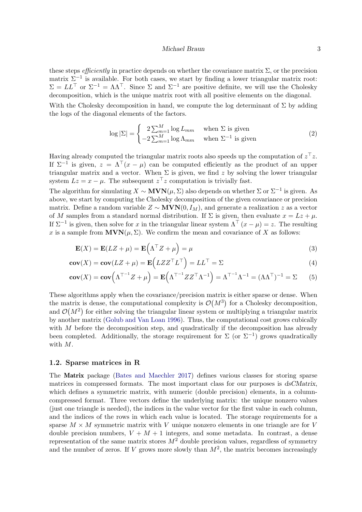#### Michael Braun 3

these steps *efficiently* in practice depends on whether the covariance matrix  $\Sigma$ , or the precision matrix  $\Sigma^{-1}$  is available. For both cases, we start by finding a lower triangular matrix root:  $\Sigma = LL^{\top}$  or  $\Sigma^{-1} = \Lambda \Lambda^{\top}$ . Since  $\Sigma$  and  $\Sigma^{-1}$  are positive definite, we will use the Cholesky decomposition, which is the unique matrix root with all positive elements on the diagonal. With the Cholesky decomposition in hand, we compute the log determinant of  $\Sigma$  by adding the logs of the diagonal elements of the factors.

$$
\log |\Sigma| = \begin{cases} 2 \sum_{m=1}^{M} \log L_{mm} & \text{when } \Sigma \text{ is given} \\ -2 \sum_{m=1}^{M} \log \Lambda_{mm} & \text{when } \Sigma^{-1} \text{ is given} \end{cases}
$$
(2)

Having already computed the triangular matrix roots also speeds up the computation of  $z^{\top}z$ . If  $\Sigma^{-1}$  is given,  $z = \Lambda^{\top}(x - \mu)$  can be computed efficiently as the product of an upper triangular matrix and a vector. When  $\Sigma$  is given, we find z by solving the lower triangular system  $Lz = x - \mu$ . The subsequent  $z^{\top}z$  computation is trivially fast.

The algorithm for simulating  $X \sim \textbf{MVN}(\mu, \Sigma)$  also depends on whether  $\Sigma$  or  $\Sigma^{-1}$  is given. As above, we start by computing the Cholesky decomposition of the given covariance or precision matrix. Define a random variable  $Z \sim \text{MVN}(0, I_M)$ , and generate a realization z as a vector of M samples from a standard normal distribution. If  $\Sigma$  is given, then evaluate  $x = Lz + \mu$ . If  $\Sigma^{-1}$  is given, then solve for x in the triangular linear system  $\Lambda^{\top}(x-\mu) = z$ . The resulting x is a sample from  $MVN(\mu, \Sigma)$ . We confirm the mean and covariance of X as follows:

$$
\mathbf{E}(X) = \mathbf{E}(LZ + \mu) = \mathbf{E}\left(\Lambda^{\top}Z + \mu\right) = \mu
$$
\n(3)

$$
cov(X) = cov(LZ + \mu) = \mathbf{E}\left(LZZ^{\top}L^{\top}\right) = LL^{\top} = \Sigma
$$
\n(4)

$$
\mathbf{cov}(X) = \mathbf{cov}\left(\Lambda^{\top - 1} Z + \mu\right) = \mathbf{E}\left(\Lambda^{\top - 1} Z Z^{\top} \Lambda^{-1}\right) = \Lambda^{\top - 1} \Lambda^{-1} = (\Lambda \Lambda^{\top})^{-1} = \Sigma \tag{5}
$$

These algorithms apply when the covariance/precision matrix is either sparse or dense. When the matrix is dense, the computational complexity is  $\mathcal{O}(M^3)$  for a Cholesky decomposition, and  $\mathcal{O}(M^2)$  for either solving the triangular linear system or multiplying a triangular matrix by another matrix [\(Golub and Van Loan](#page-10-1) [1996\)](#page-10-1). Thus, the computational cost grows cubically with  $M$  before the decomposition step, and quadratically if the decomposition has already been completed. Additionally, the storage requirement for  $\Sigma$  (or  $\Sigma^{-1}$ ) grows quadratically with M.

## <span id="page-2-0"></span>1.2. Sparse matrices in R

The Matrix package [\(Bates and Maechler](#page-9-0) [2017\)](#page-9-0) defines various classes for storing sparse matrices in compressed formats. The most important class for our purposes is dsCMatrix, which defines a symmetric matrix, with numeric (double precision) elements, in a columncompressed format. Three vectors define the underlying matrix: the unique nonzero values (just one triangle is needed), the indices in the value vector for the first value in each column, and the indices of the rows in which each value is located. The storage requirements for a sparse  $M \times M$  symmetric matrix with V unique nonzero elements in one triangle are for V double precision numbers,  $V + M + 1$  integers, and some metadata. In contrast, a dense representation of the same matrix stores  $M^2$  double precision values, regardless of symmetry and the number of zeros. If V grows more slowly than  $M^2$ , the matrix becomes increasingly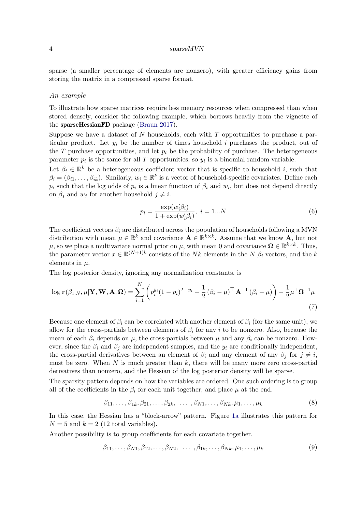#### 4 sparseMVN

sparse (a smaller percentage of elements are nonzero), with greater efficiency gains from storing the matrix in a compressed sparse format.

#### An example

To illustrate how sparse matrices require less memory resources when compressed than when stored densely, consider the following example, which borrows heavily from the vignette of the sparseHessianFD package [\(Braun](#page-9-2) [2017\)](#page-9-2).

Suppose we have a dataset of N households, each with  $T$  opportunities to purchase a particular product. Let  $y_i$  be the number of times household i purchases the product, out of the T purchase opportunities, and let  $p_i$  be the probability of purchase. The heterogeneous parameter  $p_i$  is the same for all T opportunities, so  $y_i$  is a binomial random variable.

Let  $\beta_i \in \mathbb{R}^k$  be a heterogeneous coefficient vector that is specific to household i, such that  $\beta_i = (\beta_{i1}, \ldots, \beta_{ik})$ . Similarly,  $w_i \in \mathbb{R}^k$  is a vector of household-specific covariates. Define each  $p_i$  such that the log odds of  $p_i$  is a linear function of  $\beta_i$  and  $w_i$ , but does not depend directly on  $\beta_i$  and  $w_j$  for another household  $j \neq i$ .

$$
p_i = \frac{\exp(w_i' \beta_i)}{1 + \exp(w_i' \beta_i)}, \ i = 1...N
$$
\n(6)

The coefficient vectors  $\beta_i$  are distributed across the population of households following a MVN distribution with mean  $\mu \in \mathbb{R}^k$  and covariance  $\mathbf{A} \in \mathbb{R}^{k \times k}$ . Assume that we know  $\mathbf{A}$ , but not  $\mu$ , so we place a multivariate normal prior on  $\mu$ , with mean 0 and covariance  $\Omega \in \mathbb{R}^{k \times k}$ . Thus, the parameter vector  $x \in \mathbb{R}^{(N+1)k}$  consists of the Nk elements in the N  $\beta_i$  vectors, and the k elements in  $\mu$ .

The log posterior density, ignoring any normalization constants, is

$$
\log \pi(\beta_{1:N}, \mu | \mathbf{Y}, \mathbf{W}, \mathbf{A}, \mathbf{\Omega}) = \sum_{i=1}^{N} \left( p_i^{y_i} (1 - p_i)^{T - y_i} - \frac{1}{2} (\beta_i - \mu)^{\top} \mathbf{A}^{-1} (\beta_i - \mu) \right) - \frac{1}{2} \mu^{\top} \mathbf{\Omega}^{-1} \mu
$$
\n(7)

Because one element of  $\beta_i$  can be correlated with another element of  $\beta_i$  (for the same unit), we allow for the cross-partials between elements of  $\beta_i$  for any i to be nonzero. Also, because the mean of each  $\beta_i$  depends on  $\mu$ , the cross-partials between  $\mu$  and any  $\beta_i$  can be nonzero. However, since the  $\beta_i$  and  $\beta_j$  are independent samples, and the  $y_i$  are conditionally independent, the cross-partial derivatives between an element of  $\beta_i$  and any element of any  $\beta_j$  for  $j \neq i$ , must be zero. When  $N$  is much greater than  $k$ , there will be many more zero cross-partial derivatives than nonzero, and the Hessian of the log posterior density will be sparse.

The sparsity pattern depends on how the variables are ordered. One such ordering is to group all of the coefficients in the  $\beta_i$  for each unit together, and place  $\mu$  at the end.

$$
\beta_{11}, \ldots, \beta_{1k}, \beta_{21}, \ldots, \beta_{2k}, \ldots, \beta_{N1}, \ldots, \beta_{Nk}, \mu_1, \ldots, \mu_k
$$
\n
$$
(8)
$$

In this case, the Hessian has a "block-arrow" pattern. Figure [1a](#page-4-0) illustrates this pattern for  $N = 5$  and  $k = 2$  (12 total variables).

Another possibility is to group coefficients for each covariate together.

$$
\beta_{11}, \ldots, \beta_{N1}, \beta_{12}, \ldots, \beta_{N2}, \ldots, \beta_{1k}, \ldots, \beta_{Nk}, \mu_1, \ldots, \mu_k
$$
\n
$$
(9)
$$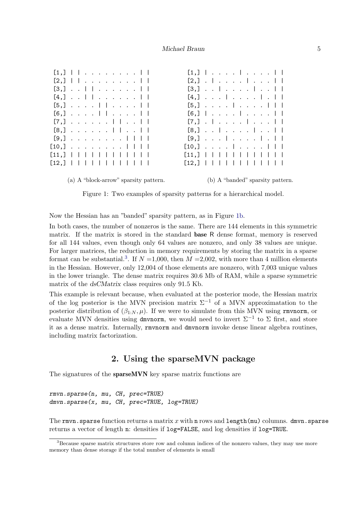<span id="page-4-0"></span>

| $[2,]$ . $ $ $ $ $ $<br>$[2,]$        <br>$[3,]$        <br>$[3,]$        <br>$[4,] \ldots$        <br>$[4,] \cdot \cdot \cdot \cdot \cdot \cdot \cdot \cdot \cdot \cdot   \cdot  $<br>$[5,]$        <br>$[6,] \cdot \cdot \cdot \cdot   \cdot   \cdot \cdot \cdot  $<br>$[7,]$ $ $ $ $ $ $<br>$[7,]$ . $ $ $ $ $ $ |  |  |  |  |  |  |  |  |  |  |  |  |  |  |  |
|---------------------------------------------------------------------------------------------------------------------------------------------------------------------------------------------------------------------------------------------------------------------------------------------------------------------|--|--|--|--|--|--|--|--|--|--|--|--|--|--|--|
|                                                                                                                                                                                                                                                                                                                     |  |  |  |  |  |  |  |  |  |  |  |  |  |  |  |
|                                                                                                                                                                                                                                                                                                                     |  |  |  |  |  |  |  |  |  |  |  |  |  |  |  |
|                                                                                                                                                                                                                                                                                                                     |  |  |  |  |  |  |  |  |  |  |  |  |  |  |  |
|                                                                                                                                                                                                                                                                                                                     |  |  |  |  |  |  |  |  |  |  |  |  |  |  |  |
|                                                                                                                                                                                                                                                                                                                     |  |  |  |  |  |  |  |  |  |  |  |  |  |  |  |
|                                                                                                                                                                                                                                                                                                                     |  |  |  |  |  |  |  |  |  |  |  |  |  |  |  |
| $[8,]$        <br>$[8,]$ $ $ $ $ $ $ $ $                                                                                                                                                                                                                                                                            |  |  |  |  |  |  |  |  |  |  |  |  |  |  |  |
| $[9,]$ $ $ $ $ . $ $<br>$[9,]$                                                                                                                                                                                                                                                                                      |  |  |  |  |  |  |  |  |  |  |  |  |  |  |  |
| $[10, 1, \ldots, \ldots, 111]$<br>$[10,] \cdot \cdot \cdot \cdot   \cdot \cdot \cdot   \cdot  $                                                                                                                                                                                                                     |  |  |  |  |  |  |  |  |  |  |  |  |  |  |  |
| $[11, ]                                    $<br>$[11, ]                                    $                                                                                                                                                                                                                        |  |  |  |  |  |  |  |  |  |  |  |  |  |  |  |
| $[12, ]$                          <br>$[12,]$                                                                                                                                                                                                                                                                       |  |  |  |  |  |  |  |  |  |  |  |  |  |  |  |
|                                                                                                                                                                                                                                                                                                                     |  |  |  |  |  |  |  |  |  |  |  |  |  |  |  |

(a) A "block-arrow" sparsity pattern. (b) A "banded" sparsity pattern.

Figure 1: Two examples of sparsity patterns for a hierarchical model.

Now the Hessian has an "banded" sparsity pattern, as in Figure [1b.](#page-4-0)

In both cases, the number of nonzeros is the same. There are 144 elements in this symmetric matrix. If the matrix is stored in the standard base R dense format, memory is reserved for all 144 values, even though only 64 values are nonzero, and only 38 values are unique. For larger matrices, the reduction in memory requirements by storing the matrix in a sparse format can be substantial.<sup>[3](#page-4-1)</sup>. If  $N = 1,000$ , then  $M = 2,002$ , with more than 4 million elements in the Hessian. However, only 12,004 of those elements are nonzero, with 7,003 unique values in the lower triangle. The dense matrix requires 30.6 Mb of RAM, while a sparse symmetric matrix of the dsCMatrix class requires only 91.5 Kb.

This example is relevant because, when evaluated at the posterior mode, the Hessian matrix of the log posterior is the MVN precision matrix  $\Sigma^{-1}$  of a MVN approximatation to the posterior distribution of  $(\beta_{1:N}, \mu)$ . If we were to simulate from this MVN using rmvnorm, or evaluate MVN densities using dmvnorm, we would need to invert  $\Sigma^{-1}$  to  $\Sigma$  first, and store it as a dense matrix. Internally, rmvnorm and dmvnorm invoke dense linear algebra routines, including matrix factorization.

# 2. Using the sparseMVN package

The signatures of the **sparseMVN** key sparse matrix functions are

rmvn.sparse(n, mu, CH, prec=TRUE) dmvn.sparse(x, mu, CH, prec=TRUE, log=TRUE)

The rmvn.sparse function returns a matrix x with n rows and length (mu) columns. dmvn.sparse returns a vector of length n: densities if log=FALSE, and log densities if log=TRUE.

<span id="page-4-1"></span><sup>&</sup>lt;sup>3</sup>Because sparse matrix structures store row and column indices of the nonzero values, they may use more memory than dense storage if the total number of elements is small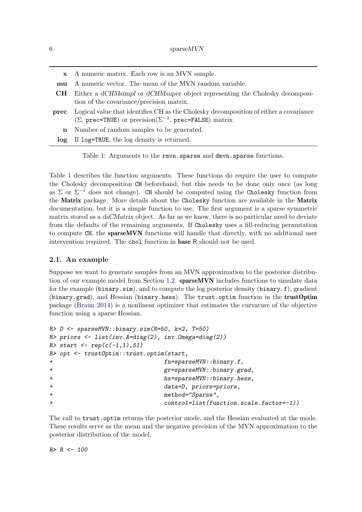<span id="page-5-0"></span>

|                  | x A numeric matrix. Each row is an MVN sample.                                                                                                                          |
|------------------|-------------------------------------------------------------------------------------------------------------------------------------------------------------------------|
| mu               | A numeric vector. The mean of the MVN random variable.                                                                                                                  |
| <b>CH</b>        | Either a dCHMsimpl or dCHMsuper object representing the Cholesky decomposi-<br>tion of the covariance/precision matrix.                                                 |
| prec             | Logical value that identifies CH as the Cholesky decomposition of either a covariance<br>$(\Sigma, \text{prec=TRUE})$ or precision( $\Sigma^{-1}$ , prec=FALSE) matrix. |
| $\mathbf{n}$     | Number of random samples to be generated.                                                                                                                               |
| log <sub>1</sub> | If log=TRUE, the log density is returned.                                                                                                                               |

Table 1: Arguments to the rmvn.sparse and dmvn.sparse functions.

Table [1](#page-5-0) describes the function arguments. These functions do require the user to compute the Cholesky decomposition CH beforehand, but this needs to be done only once (as long as  $\Sigma$  or  $\Sigma^{-1}$  does not change). CH should be computed using the Cholesky function from the Matrix package. More details about the Cholesky function are available in the Matrix documentation, but it is a simple function to use. The first argument is a sparse symmetric matrix stored as a dsCMatrix object. As far as we know, there is no particular need to deviate from the defaults of the remaining arguments. If Cholesky uses a fill-reducing permutation to compute CH, the sparseMVN functions will handle that directly, with no additional user intervention required. The chol function in base R should not be used.

## <span id="page-5-1"></span>2.1. An example

Suppose we want to generate samples from an MVN approximation to the posterior distribution of our example model from Section [1.2.](#page-2-0) sparseMVN includes functions to simulate data for the example (binary.sim), and to compute the log posterior density (binary.f), gradient (binary.grad), and Hessian (binary.hess). The trust.optim function in the trustOptim package [\(Braun](#page-9-3) [2014\)](#page-9-3) is a nonlinear optimizer that estimates the curvature of the objective function using a sparse Hessian.

```
R> D <- sparseMVN::binary.sim(N=50, k=2, T=50)
R> priors <- list(inv.A=diag(2), inv.Omega=diag(2))
R> start <- rep(c(-1,1),51)
R> opt <- trustOptim::trust.optim(start,
                       fn = sparseMVN::binary.f,+ gr=sparseMVN::binary.grad,
+ hs=sparseMVN::binary.hess,
+ data=D, priors=priors,
+ method="Sparse",
+ control=list(function.scale.factor=-1))
```
The call to trust.optim returns the posterior mode, and the Hessian evaluated at the mode. These results serve as the mean and the negative precision of the MVN approximation to the posterior distribution of the model.

 $R > R < - 100$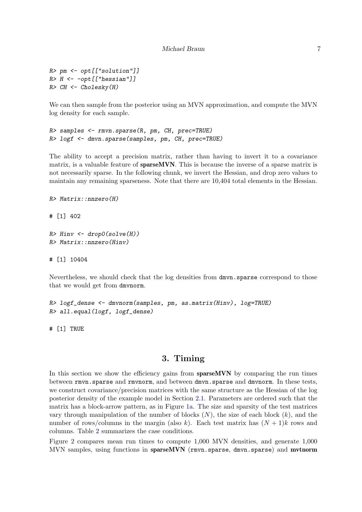```
R> pm <- opt[["solution"]]
R > H \leftarrow -opt[["hessian"]]R> CH <- Cholesky(H)
```
We can then sample from the posterior using an MVN approximation, and compute the MVN log density for each sample.

```
R> samples <- rmvn.sparse(R, pm, CH, prec=TRUE)
R> logf <- dmvn.sparse(samples, pm, CH, prec=TRUE)
```
The ability to accept a precision matrix, rather than having to invert it to a covariance matrix, is a valuable feature of **sparse MVN**. This is because the inverse of a sparse matrix is not necessarily sparse. In the following chunk, we invert the Hessian, and drop zero values to maintain any remaining sparseness. Note that there are 10,404 total elements in the Hessian.

```
R> Matrix::nnzero(H)
```
# [1] 402

```
R> Hinv \leftarrow drop0(solve(H))
R> Matrix::nnzero(Hinv)
```
# [1] 10404

Nevertheless, we should check that the log densities from dmvn.sparse correspond to those that we would get from dmvnorm.

```
R> logf_dense <- dmvnorm(samples, pm, as.matrix(Hinv), log=TRUE)
R> all.equal(logf, logf_dense)
```
# [1] TRUE

# 3. Timing

In this section we show the efficiency gains from **sparseMVN** by comparing the run times between rmvn.sparse and rmvnorm, and between dmvn.sparse and dmvnorm. In these tests, we construct covariance/precision matrices with the same structure as the Hessian of the log posterior density of the example model in Section [2.1.](#page-5-1) Parameters are ordered such that the matrix has a block-arrow pattern, as in Figure [1a.](#page-4-0) The size and sparsity of the test matrices vary through manipulation of the number of blocks  $(N)$ , the size of each block  $(k)$ , and the number of rows/columns in the margin (also k). Each test matrix has  $(N+1)k$  rows and columns. Table [2](#page-7-0) summarizes the case conditions.

Figure [2](#page-8-0) compares mean run times to compute 1,000 MVN densities, and generate 1,000 MVN samples, using functions in sparseMVN (rmvn.sparse, dmvn.sparse) and mvtnorm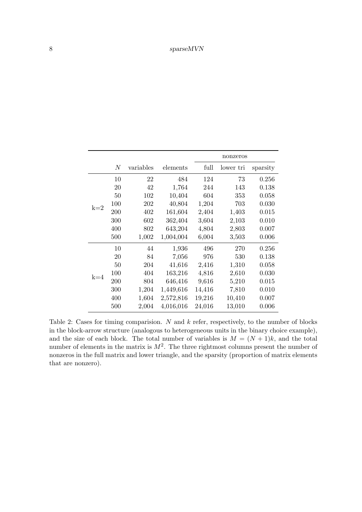<span id="page-7-0"></span>

|       |     |           |           |        | nonzeros  |          |
|-------|-----|-----------|-----------|--------|-----------|----------|
|       | N   | variables | elements  | full   | lower tri | sparsity |
|       | 10  | 22        | 484       | 124    | 73        | 0.256    |
|       | 20  | 42        | 1,764     | 244    | 143       | 0.138    |
|       | 50  | 102       | 10,404    | 604    | 353       | 0.058    |
| $k=2$ | 100 | 202       | 40,804    | 1,204  | 703       | 0.030    |
|       | 200 | 402       | 161,604   | 2,404  | 1,403     | 0.015    |
|       | 300 | 602       | 362,404   | 3,604  | 2,103     | 0.010    |
|       | 400 | 802       | 643,204   | 4,804  | 2,803     | 0.007    |
|       | 500 | 1,002     | 1,004,004 | 6,004  | 3,503     | 0.006    |
|       | 10  | 44        | 1,936     | 496    | 270       | 0.256    |
|       | 20  | 84        | 7,056     | 976    | 530       | 0.138    |
|       | 50  | 204       | 41,616    | 2,416  | 1,310     | 0.058    |
| $k=4$ | 100 | 404       | 163,216   | 4,816  | 2,610     | 0.030    |
|       | 200 | 804       | 646,416   | 9,616  | 5,210     | 0.015    |
|       | 300 | 1,204     | 1,449,616 | 14,416 | 7,810     | 0.010    |
|       | 400 | 1,604     | 2,572,816 | 19,216 | 10,410    | 0.007    |
|       | 500 | 2,004     | 4,016,016 | 24,016 | 13,010    | 0.006    |

Table 2: Cases for timing comparision.  $N$  and  $k$  refer, respectively, to the number of blocks in the block-arrow structure (analogous to heterogeneous units in the binary choice example), and the size of each block. The total number of variables is  $M = (N + 1)k$ , and the total number of elements in the matrix is  $M^2$ . The three rightmost columns present the number of nonzeros in the full matrix and lower triangle, and the sparsity (proportion of matrix elements that are nonzero).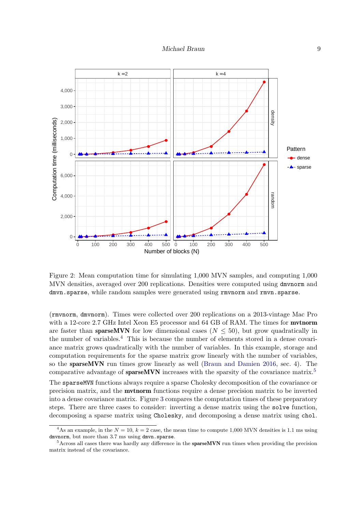<span id="page-8-0"></span>

Figure 2: Mean computation time for simulating 1,000 MVN samples, and computing 1,000 MVN densities, averaged over 200 replications. Densities were computed using dmvnorm and dmvn.sparse, while random samples were generated using rmvnorm and rmvn.sparse.

(rmvnorm, dmvnorm). Times were collected over 200 replications on a 2013-vintage Mac Pro with a 12-core 2.7 GHz Intel Xeon E5 processor and 64 GB of RAM. The times for **mythorm** are faster than **sparseMVN** for low dimensional cases ( $N \le 50$ ), but grow quadratically in the number of variables.[4](#page-8-1) This is because the number of elements stored in a dense covariance matrix grows quadratically with the number of variables. In this example, storage and computation requirements for the sparse matrix grow linearly with the number of variables, so the sparseMVN run times grow linearly as well [\(Braun and Damien](#page-9-4) [2016,](#page-9-4) sec. 4). The comparative advantage of **sparseMVN** increases with the sparsity of the covariance matrix.<sup>[5](#page-8-2)</sup>

The sparseMVN functions always require a sparse Cholesky decomposition of the covariance or precision matrix, and the mvtnorm functions require a dense precision matrix to be inverted into a dense covariance matrix. Figure [3](#page-9-5) compares the computation times of these preparatory steps. There are three cases to consider: inverting a dense matrix using the solve function, decomposing a sparse matrix using Cholesky, and decomposing a dense matrix using chol.

<span id="page-8-1"></span><sup>&</sup>lt;sup>4</sup>As an example, in the  $N = 10$ ,  $k = 2$  case, the mean time to compute 1,000 MVN densities is 1.1 ms using dmvnorm, but more than 3.7 ms using dmvn.sparse.

<span id="page-8-2"></span><sup>&</sup>lt;sup>5</sup>Across all cases there was hardly any difference in the **sparseMVN** run times when providing the precision matrix instead of the covariance.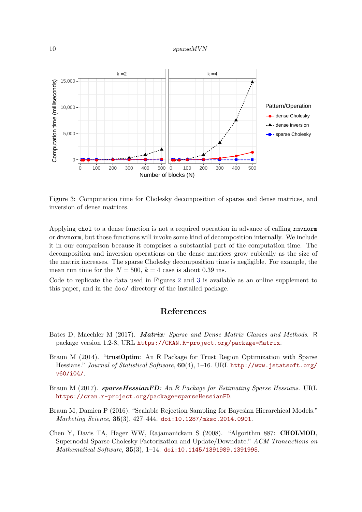#### 10 sparseMVN

<span id="page-9-5"></span>

Figure 3: Computation time for Cholesky decomposition of sparse and dense matrices, and inversion of dense matrices.

Applying chol to a dense function is not a required operation in advance of calling rmvnorm or dmvnorm, but those functions will invoke some kind of decomposition internally. We include it in our comparison because it comprises a substantial part of the computation time. The decomposition and inversion operations on the dense matrices grow cubically as the size of the matrix increases. The sparse Cholesky decomposition time is negligible. For example, the mean run time for the  $N = 500$ ,  $k = 4$  case is about 0.39 ms.

Code to replicate the data used in Figures [2](#page-8-0) and [3](#page-9-5) is available as an online supplement to this paper, and in the doc/ directory of the installed package.

# References

- <span id="page-9-0"></span>Bates D, Maechler M (2017). Matrix: Sparse and Dense Matrix Classes and Methods. R package version 1.2-8, URL <https://CRAN.R-project.org/package=Matrix>.
- <span id="page-9-3"></span>Braun M (2014). "trustOptim: An R Package for Trust Region Optimization with Sparse Hessians." Journal of Statistical Software, 60(4), 1–16. URL [http://www.jstatsoft.org/](http://www.jstatsoft.org/v60/i04/) [v60/i04/](http://www.jstatsoft.org/v60/i04/).
- <span id="page-9-2"></span>Braun M (2017). sparseHessianFD: An R Package for Estimating Sparse Hessians. URL <https://cran.r-project.org/package=sparseHessianFD>.
- <span id="page-9-4"></span>Braun M, Damien P (2016). "Scalable Rejection Sampling for Bayesian Hierarchical Models." Marketing Science, 35(3), 427–444. [doi:10.1287/mksc.2014.0901](http://dx.doi.org/10.1287/mksc.2014.0901).
- <span id="page-9-1"></span>Chen Y, Davis TA, Hager WW, Rajamanickam S (2008). "Algorithm 887: CHOLMOD, Supernodal Sparse Cholesky Factorization and Update/Downdate." ACM Transactions on Mathematical Software, 35(3), 1–14. [doi:10.1145/1391989.1391995](http://dx.doi.org/10.1145/1391989.1391995).